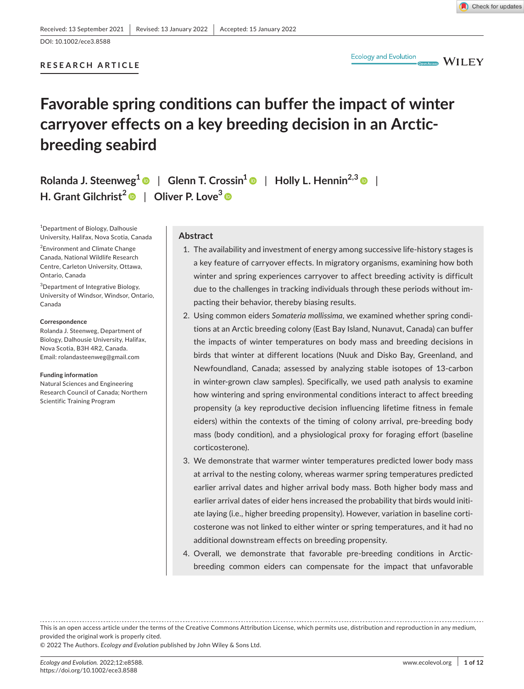DOI: 10.1002/ece3.8588

# **RESEARCH ARTICLE**



Open Access WILEY

# **Favorable spring conditions can buffer the impact of winter carryover effects on a key breeding decision in an Arcticbreeding seabird**

**Rolanda J. Steenweg1** | **Glenn T. Crossin[1](https://orcid.org/0000-0003-1080-1189)** | **Holly L. Hennin2,[3](https://orcid.org/0000-0001-8327-1102)** | **H. Grant Gilchrist<sup>2</sup>** | **Oliver P. Love3**

1 Department of Biology, Dalhousie University, Halifax, Nova Scotia, Canada

<sup>2</sup> Environment and Climate Change Canada, National Wildlife Research Centre, Carleton University, Ottawa, Ontario, Canada

3 Department of Integrative Biology, University of Windsor, Windsor, Ontario, Canada

#### **Correspondence**

Rolanda J. Steenweg, Department of Biology, Dalhousie University, Halifax, Nova Scotia, B3H 4R2, Canada. Email: [rolandasteenweg@gmail.com](mailto:rolandasteenweg@gmail.com)

#### **Funding information**

Natural Sciences and Engineering Research Council of Canada; Northern Scientific Training Program

#### **Abstract**

- 1. The availability and investment of energy among successive life-history stages is a key feature of carryover effects. In migratory organisms, examining how both winter and spring experiences carryover to affect breeding activity is difficult due to the challenges in tracking individuals through these periods without impacting their behavior, thereby biasing results.
- 2. Using common eiders Somateria mollissima, we examined whether spring conditions at an Arctic breeding colony (East Bay Island, Nunavut, Canada) can buffer the impacts of winter temperatures on body mass and breeding decisions in birds that winter at different locations (Nuuk and Disko Bay, Greenland, and Newfoundland, Canada; assessed by analyzing stable isotopes of 13-carbon in winter-grown claw samples). Specifically, we used path analysis to examine how wintering and spring environmental conditions interact to affect breeding propensity (a key reproductive decision influencing lifetime fitness in female eiders) within the contexts of the timing of colony arrival, pre-breeding body mass (body condition), and a physiological proxy for foraging effort (baseline corticosterone).
- 3. We demonstrate that warmer winter temperatures predicted lower body mass at arrival to the nesting colony, whereas warmer spring temperatures predicted earlier arrival dates and higher arrival body mass. Both higher body mass and earlier arrival dates of eider hens increased the probability that birds would initiate laying (i.e., higher breeding propensity). However, variation in baseline corticosterone was not linked to either winter or spring temperatures, and it had no additional downstream effects on breeding propensity.
- 4. Overall, we demonstrate that favorable pre-breeding conditions in Arcticbreeding common eiders can compensate for the impact that unfavorable

This is an open access article under the terms of the Creative Commons [Attribution](http://creativecommons.org/licenses/by/4.0/) License, which permits use, distribution and reproduction in any medium, provided the original work is properly cited. © 2022 The Authors. *Ecology and Evolution* published by John Wiley & Sons Ltd.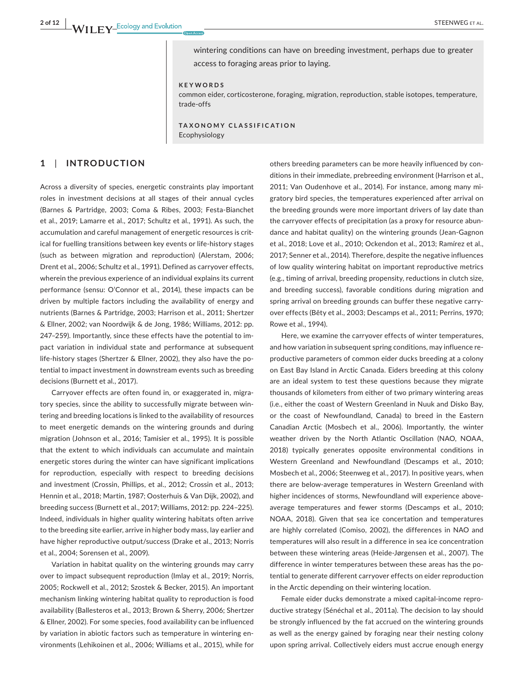wintering conditions can have on breeding investment, perhaps due to greater access to foraging areas prior to laying.

#### **KEYWORDS**

common eider, corticosterone, foraging, migration, reproduction, stable isotopes, temperature, trade-offs

**TAXONOMY CLASSIFICATION** Ecophysiology

# **1**  | **INTRODUCTION**

Across a diversity of species, energetic constraints play important roles in investment decisions at all stages of their annual cycles (Barnes & Partridge, 2003; Coma & Ribes, 2003; Festa-Bianchet et al., 2019; Lamarre et al., 2017; Schultz et al., 1991). As such, the accumulation and careful management of energetic resources is critical for fuelling transitions between key events or life-history stages (such as between migration and reproduction) (Alerstam, 2006; Drent et al., 2006; Schultz et al., 1991). Defined as carryover effects, wherein the previous experience of an individual explains its current performance (sensu: O'Connor et al., 2014), these impacts can be driven by multiple factors including the availability of energy and nutrients (Barnes & Partridge, 2003; Harrison et al., 2011; Shertzer & Ellner, 2002; van Noordwijk & de Jong, 1986; Williams, 2012: pp. 247–259). Importantly, since these effects have the potential to impact variation in individual state and performance at subsequent life-history stages (Shertzer & Ellner, 2002), they also have the potential to impact investment in downstream events such as breeding decisions (Burnett et al., 2017).

Carryover effects are often found in, or exaggerated in, migratory species, since the ability to successfully migrate between wintering and breeding locations is linked to the availability of resources to meet energetic demands on the wintering grounds and during migration (Johnson et al., 2016; Tamisier et al., 1995). It is possible that the extent to which individuals can accumulate and maintain energetic stores during the winter can have significant implications for reproduction, especially with respect to breeding decisions and investment (Crossin, Phillips, et al., 2012; Crossin et al., 2013; Hennin et al., 2018; Martin, 1987; Oosterhuis & Van Dijk, 2002), and breeding success (Burnett et al., 2017; Williams, 2012: pp. 224–225). Indeed, individuals in higher quality wintering habitats often arrive to the breeding site earlier, arrive in higher body mass, lay earlier and have higher reproductive output/success (Drake et al., 2013; Norris et al., 2004; Sorensen et al., 2009).

Variation in habitat quality on the wintering grounds may carry over to impact subsequent reproduction (Imlay et al., 2019; Norris, 2005; Rockwell et al., 2012; Szostek & Becker, 2015). An important mechanism linking wintering habitat quality to reproduction is food availability (Ballesteros et al., 2013; Brown & Sherry, 2006; Shertzer & Ellner, 2002). For some species, food availability can be influenced by variation in abiotic factors such as temperature in wintering environments (Lehikoinen et al., 2006; Williams et al., 2015), while for

others breeding parameters can be more heavily influenced by conditions in their immediate, prebreeding environment (Harrison et al., 2011; Van Oudenhove et al., 2014). For instance, among many migratory bird species, the temperatures experienced after arrival on the breeding grounds were more important drivers of lay date than the carryover effects of precipitation (as a proxy for resource abundance and habitat quality) on the wintering grounds (Jean-Gagnon et al., 2018; Love et al., 2010; Ockendon et al., 2013; Ramírez et al., 2017; Senner et al., 2014). Therefore, despite the negative influences of low quality wintering habitat on important reproductive metrics (e.g., timing of arrival, breeding propensity, reductions in clutch size, and breeding success), favorable conditions during migration and spring arrival on breeding grounds can buffer these negative carryover effects (Bêty et al., 2003; Descamps et al., 2011; Perrins, 1970; Rowe et al., 1994).

Here, we examine the carryover effects of winter temperatures, and how variation in subsequent spring conditions, may influence reproductive parameters of common eider ducks breeding at a colony on East Bay Island in Arctic Canada. Eiders breeding at this colony are an ideal system to test these questions because they migrate thousands of kilometers from either of two primary wintering areas (i.e., either the coast of Western Greenland in Nuuk and Disko Bay, or the coast of Newfoundland, Canada) to breed in the Eastern Canadian Arctic (Mosbech et al., 2006). Importantly, the winter weather driven by the North Atlantic Oscillation (NAO, NOAA, 2018) typically generates opposite environmental conditions in Western Greenland and Newfoundland (Descamps et al., 2010; Mosbech et al., 2006; Steenweg et al., 2017). In positive years, when there are below-average temperatures in Western Greenland with higher incidences of storms, Newfoundland will experience aboveaverage temperatures and fewer storms (Descamps et al., 2010; NOAA, 2018). Given that sea ice concertation and temperatures are highly correlated (Comiso, 2002), the differences in NAO and temperatures will also result in a difference in sea ice concentration between these wintering areas (Heide-Jørgensen et al., 2007). The difference in winter temperatures between these areas has the potential to generate different carryover effects on eider reproduction in the Arctic depending on their wintering location.

Female eider ducks demonstrate a mixed capital-income reproductive strategy (Sénéchal et al., 2011a). The decision to lay should be strongly influenced by the fat accrued on the wintering grounds as well as the energy gained by foraging near their nesting colony upon spring arrival. Collectively eiders must accrue enough energy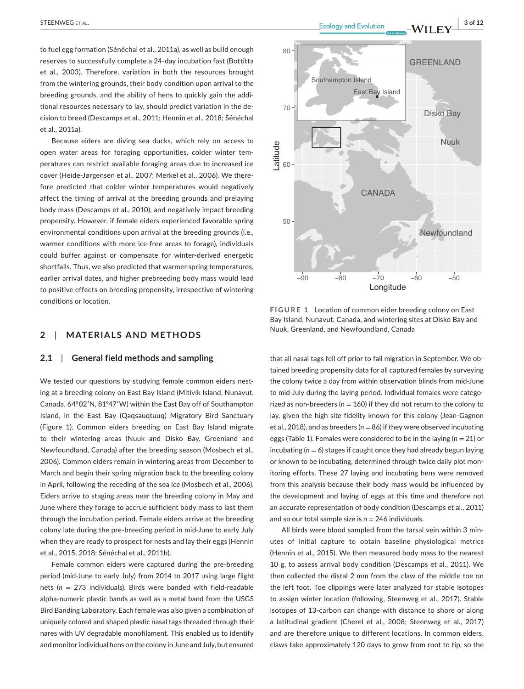to fuel egg formation (Sénéchal et al., 2011a), as well as build enough reserves to successfully complete a 24-day incubation fast (Bottitta et al., 2003). Therefore, variation in both the resources brought from the wintering grounds, their body condition upon arrival to the breeding grounds, and the ability of hens to quickly gain the additional resources necessary to lay, should predict variation in the decision to breed (Descamps et al., 2011; Hennin et al., 2018; Sénéchal et al., 2011a).

Because eiders are diving sea ducks, which rely on access to open water areas for foraging opportunities, colder winter temperatures can restrict available foraging areas due to increased ice cover (Heide-Jørgensen et al., 2007; Merkel et al., 2006). We therefore predicted that colder winter temperatures would negatively affect the timing of arrival at the breeding grounds and prelaying body mass (Descamps et al., 2010), and negatively impact breeding propensity. However, if female eiders experienced favorable spring environmental conditions upon arrival at the breeding grounds (i.e., warmer conditions with more ice-free areas to forage), individuals could buffer against or compensate for winter-derived energetic shortfalls. Thus, we also predicted that warmer spring temperatures, earlier arrival dates, and higher prebreeding body mass would lead to positive effects on breeding propensity, irrespective of wintering conditions or location.

# **2**  | **MATERIALS AND METHODS**

#### **2.1**  | **General field methods and sampling**

We tested our questions by studying female common eiders nesting at a breeding colony on East Bay Island (Mitivik Island, Nunavut, Canada, 64°02′N, 81°47′W) within the East Bay off of Southampton Island, in the East Bay (Qaqsauqtuuq) Migratory Bird Sanctuary (Figure 1). Common eiders breeding on East Bay Island migrate to their wintering areas (Nuuk and Disko Bay, Greenland and Newfoundland, Canada) after the breeding season (Mosbech et al., 2006). Common eiders remain in wintering areas from December to March and begin their spring migration back to the breeding colony in April, following the receding of the sea ice (Mosbech et al., 2006). Eiders arrive to staging areas near the breeding colony in May and June where they forage to accrue sufficient body mass to last them through the incubation period. Female eiders arrive at the breeding colony late during the pre-breeding period in mid-June to early July when they are ready to prospect for nests and lay their eggs (Hennin et al., 2015, 2018; Sénéchal et al., 2011b).

Female common eiders were captured during the pre-breeding period (mid-June to early July) from 2014 to 2017 using large flight nets (*n* = 273 individuals). Birds were banded with field-readable alpha-numeric plastic bands as well as a metal band from the USGS Bird Banding Laboratory. Each female was also given a combination of uniquely colored and shaped plastic nasal tags threaded through their nares with UV degradable monofilament. This enabled us to identify and monitor individual hens on the colony in June and July, but ensured



**FIGURE 1** Location of common eider breeding colony on East Bay Island, Nunavut, Canada, and wintering sites at Disko Bay and Nuuk, Greenland, and Newfoundland, Canada

−90 −80 −70 −60 −50 Longitude

that all nasal tags fell off prior to fall migration in September. We obtained breeding propensity data for all captured females by surveying the colony twice a day from within observation blinds from mid-June to mid-July during the laying period. Individual females were categorized as non-breeders ( $n = 160$ ) if they did not return to the colony to lay, given the high site fidelity known for this colony (Jean-Gagnon et al., 2018), and as breeders ( $n = 86$ ) if they were observed incubating eggs (Table 1). Females were considered to be in the laying (*n* = 21) or incubating (*n* = 6) stages if caught once they had already begun laying or known to be incubating, determined through twice daily plot monitoring efforts. These 27 laying and incubating hens were removed from this analysis because their body mass would be influenced by the development and laying of eggs at this time and therefore not an accurate representation of body condition (Descamps et al., 2011) and so our total sample size is  $n = 246$  individuals.

All birds were blood sampled from the tarsal vein within 3 minutes of initial capture to obtain baseline physiological metrics (Hennin et al., 2015). We then measured body mass to the nearest 10 g, to assess arrival body condition (Descamps et al., 2011). We then collected the distal 2 mm from the claw of the middle toe on the left foot. Toe clippings were later analyzed for stable isotopes to assign winter location (following, Steenweg et al., 2017). Stable isotopes of 13-carbon can change with distance to shore or along a latitudinal gradient (Cherel et al., 2008; Steenweg et al., 2017) and are therefore unique to different locations. In common eiders, claws take approximately 120 days to grow from root to tip, so the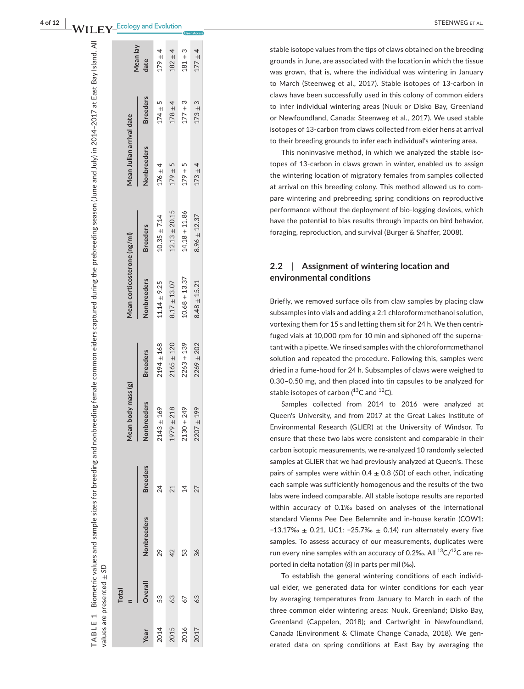|      | values are presented ± SD |                    |                 |                                                |                 |                             |                   |                          |                 |             |
|------|---------------------------|--------------------|-----------------|------------------------------------------------|-----------------|-----------------------------|-------------------|--------------------------|-----------------|-------------|
|      | <b>Total</b>              |                    |                 | Mean body mass (g)<br>$\overline{\phantom{a}}$ |                 | Mean corticosterone (ng/ml) |                   | Mean Julian arrival date |                 | Mean lay    |
| Year | Overall                   | <b>Nonbreeders</b> | <b>Breeders</b> | Nonbreeders                                    | <b>Breeders</b> | Nonbreeders                 | <b>Breeders</b>   | Nonbreeders              | <b>Breeders</b> | date        |
| 2014 | 53                        | 29                 | 24              | $2143 \pm 169$                                 | $2194 \pm 168$  | $11.14 \pm 9.25$            | $10.35 \pm 7.14$  | $176 \pm 4$              | $174 \pm 5$     | $179 + 4$   |
| 2015 | 63                        | 42                 | 21              | $1979 \pm 218$                                 | $2165 \pm 120$  | $8.17 \pm 13.07$            | $12.13 \pm 20.15$ | $179 + 5$                | $178 \pm 4$     | $182 + 4$   |
| 2016 | 67                        | 53                 | $\overline{4}$  | $2130 \pm 249$                                 | $2263 \pm 139$  | $10.68 \pm 13.37$           | $14.18 \pm 11.86$ | $179 + 5$                | $177 \pm 3$     | $181 \pm 3$ |
| 2017 | 63                        | 36                 | 27              | $2207 + 199$                                   | $2269 \pm 202$  | $8.48 \pm 15.21$            | $8.96 \pm 12.37$  | $173 + 4$                | $173 + 3$       | $177 \pm 4$ |
|      |                           |                    |                 |                                                |                 |                             |                   |                          |                 |             |

**TABLE 1**

TABLE 1

Biometric values and sample sizes for breeding and nonbreeding female common eiders captured during the prebreeding season (June and July) in 2014–2017 at East Bay Island. All

Biometric values and sample sizes for breeding and nonbreeding female common eiders captured during the prebreeding season (June and July) in 2014–2017 at East Bay Island. All

stable isotope values from the tips of claws obtained on the breeding grounds in June, are associated with the location in which the tissue was grown, that is, where the individual was wintering in January to March (Steenweg et al., 2017). Stable isotopes of 13-carbon in claws have been successfully used in this colony of common eiders to infer individual wintering areas (Nuuk or Disko Bay, Greenland or Newfoundland, Canada; Steenweg et al., 2017). We used stable isotopes of 13-carbon from claws collected from eider hens at arrival to their breeding grounds to infer each individual's wintering area.

This noninvasive method, in which we analyzed the stable iso topes of 13-carbon in claws grown in winter, enabled us to assign the wintering location of migratory females from samples collected at arrival on this breeding colony. This method allowed us to com pare wintering and prebreeding spring conditions on reproductive performance without the deployment of bio-logging devices, which have the potential to bias results through impacts on bird behavior, foraging, reproduction, and survival (Burger & Shaffer, 2008).

#### **2.2**  | **Assignment of wintering location and environmental conditions**

Briefly, we removed surface oils from claw samples by placing claw subsamples into vials and adding a 2:1 chloroform:methanol solution, vortexing them for 15 s and letting them sit for 24 h. We then centri fuged vials at 10,000 rpm for 10 min and siphoned off the superna tant with a pipette. We rinsed samples with the chloroform:methanol solution and repeated the procedure. Following this, samples were dried in a fume-hood for 24 h. Subsamples of claws were weighed to 0.30–0.50 mg, and then placed into tin capsules to be analyzed for stable isotopes of carbon  $(^{13}C$  and  $^{12}C$ ).

Samples collected from 2014 to 2016 were analyzed at Queen's University, and from 2017 at the Great Lakes Institute of Environmental Research (GLIER) at the University of Windsor. To ensure that these two labs were consistent and comparable in their carbon isotopic measurements, we re-analyzed 10 randomly selected samples at GLIER that we had previously analyzed at Queen's. These pairs of samples were within 0.4  $\pm$  0.8 (*SD*) of each other, indicating each sample was sufficiently homogenous and the results of the two labs were indeed comparable. All stable isotope results are reported within accuracy of 0.1‰ based on analyses of the international standard Vienna Pee Dee Belemnite and in-house keratin (COW1: −13.17‰ ± 0.21, UC1: −25.7‰ ± 0.14) run alternately every five samples. To assess accuracy of our measurements, duplicates were run every nine samples with an accuracy of 0.2‰. All  $^{13}$ C/ $^{12}$ C are reported in delta notation ( δ ) in parts per mil (‰).

To establish the general wintering conditions of each individ ual eider, we generated data for winter conditions for each year by averaging temperatures from January to March in each of the three common eider wintering areas: Nuuk, Greenland; Disko Bay, Greenland (Cappelen, 2018); and Cartwright in Newfoundland, Canada (Environment & Climate Change Canada, 2018). We gen erated data on spring conditions at East Bay by averaging the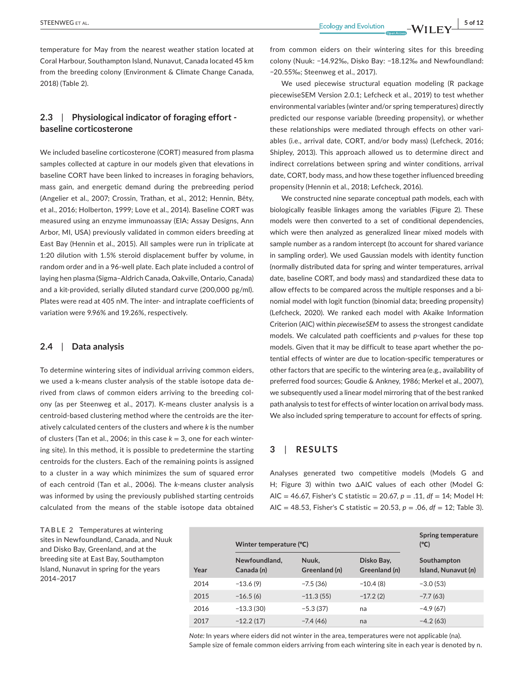temperature for May from the nearest weather station located at Coral Harbour, Southampton Island, Nunavut, Canada located 45 km from the breeding colony (Environment & Climate Change Canada, 2018) (Table 2).

# **2.3**  | **Physiological indicator of foraging effort baseline corticosterone**

We included baseline corticosterone (CORT) measured from plasma samples collected at capture in our models given that elevations in baseline CORT have been linked to increases in foraging behaviors, mass gain, and energetic demand during the prebreeding period (Angelier et al., 2007; Crossin, Trathan, et al., 2012; Hennin, Bêty, et al., 2016; Holberton, 1999; Love et al., 2014). Baseline CORT was measured using an enzyme immunoassay (EIA; Assay Designs, Ann Arbor, MI, USA) previously validated in common eiders breeding at East Bay (Hennin et al., 2015). All samples were run in triplicate at 1:20 dilution with 1.5% steroid displacement buffer by volume, in random order and in a 96-well plate. Each plate included a control of laying hen plasma (Sigma–Aldrich Canada, Oakville, Ontario, Canada) and a kit-provided, serially diluted standard curve (200,000 pg/ml). Plates were read at 405 nM. The inter- and intraplate coefficients of variation were 9.96% and 19.26%, respectively.

#### **2.4**  | **Data analysis**

To determine wintering sites of individual arriving common eiders, we used a k-means cluster analysis of the stable isotope data derived from claws of common eiders arriving to the breeding colony (as per Steenweg et al., 2017). K-means cluster analysis is a centroid-based clustering method where the centroids are the iteratively calculated centers of the clusters and where *k* is the number of clusters (Tan et al., 2006; in this case  $k = 3$ , one for each wintering site). In this method, it is possible to predetermine the starting centroids for the clusters. Each of the remaining points is assigned to a cluster in a way which minimizes the sum of squared error of each centroid (Tan et al., 2006). The *k*-means cluster analysis was informed by using the previously published starting centroids calculated from the means of the stable isotope data obtained

**TABLE 2** Temperatures at wintering sites in Newfoundland, Canada, and Nuuk and Disko Bay, Greenland, and at the breeding site at East Bay, Southampton Island, Nunavut in spring for the years 2014–2017

from common eiders on their wintering sites for this breeding colony (Nuuk: −14.92‰, Disko Bay: −18.12‰ and Newfoundland: −20.55‰; Steenweg et al., 2017).

We used piecewise structural equation modeling (R package piecewiseSEM Version 2.0.1; Lefcheck et al., 2019) to test whether environmental variables (winter and/or spring temperatures) directly predicted our response variable (breeding propensity), or whether these relationships were mediated through effects on other variables (i.e., arrival date, CORT, and/or body mass) (Lefcheck, 2016; Shipley, 2013). This approach allowed us to determine direct and indirect correlations between spring and winter conditions, arrival date, CORT, body mass, and how these together influenced breeding propensity (Hennin et al., 2018; Lefcheck, 2016).

We constructed nine separate conceptual path models, each with biologically feasible linkages among the variables (Figure 2). These models were then converted to a set of conditional dependencies, which were then analyzed as generalized linear mixed models with sample number as a random intercept (to account for shared variance in sampling order). We used Gaussian models with identity function (normally distributed data for spring and winter temperatures, arrival date, baseline CORT, and body mass) and standardized these data to allow effects to be compared across the multiple responses and a binomial model with logit function (binomial data; breeding propensity) (Lefcheck, 2020). We ranked each model with Akaike Information Criterion (AIC) within *piecewiseSEM* to assess the strongest candidate models. We calculated path coefficients and *p*-values for these top models. Given that it may be difficult to tease apart whether the potential effects of winter are due to location-specific temperatures or other factors that are specific to the wintering area (e.g., availability of preferred food sources; Goudie & Ankney, 1986; Merkel et al., 2007), we subsequently used a linear model mirroring that of the best ranked path analysis to test for effects of winter location on arrival body mass. We also included spring temperature to account for effects of spring.

## **3**  | **RESULTS**

Analyses generated two competitive models (Models G and H; Figure 3) within two ΔAIC values of each other (Model G: AIC = 46.67, Fisher's C statistic = 20.67, *p* = .11, *df* = 14; Model H: AIC = 48.53, Fisher's C statistic = 20.53, *p* = .06, *df* = 12; Table 3).

|      | Winter temperature (°C)     | <b>Spring temperature</b><br>(°C) |                             |                                    |
|------|-----------------------------|-----------------------------------|-----------------------------|------------------------------------|
| Year | Newfoundland,<br>Canada (n) | Nuuk.<br>Greenland (n)            | Disko Bay,<br>Greenland (n) | Southampton<br>Island, Nunavut (n) |
| 2014 | $-13.6(9)$                  | $-7.5(36)$                        | $-10.4(8)$                  | $-3.0(53)$                         |
| 2015 | $-16.5(6)$                  | $-11.3(55)$                       | $-17.2(2)$                  | $-7.7(63)$                         |
| 2016 | $-13.3(30)$                 | $-5.3(37)$                        | na                          | $-4.9(67)$                         |
| 2017 | $-12.2(17)$                 | $-7.4(46)$                        | na                          | $-4.2(63)$                         |

*Note:* In years where eiders did not winter in the area, temperatures were not applicable (na). Sample size of female common eiders arriving from each wintering site in each year is denoted by n.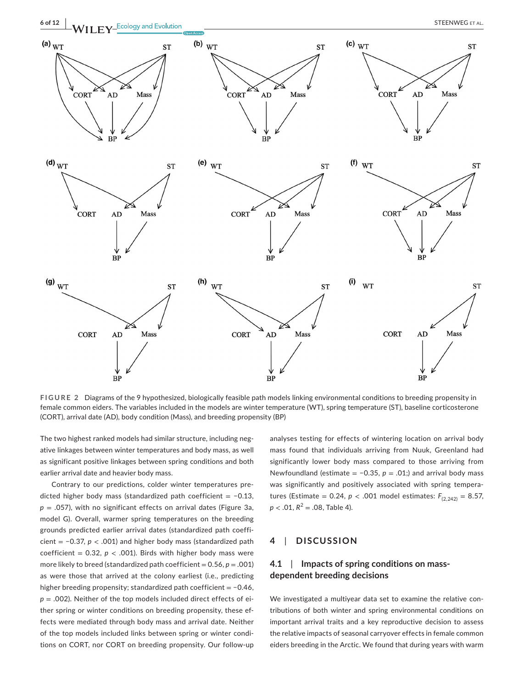

**FIGURE 2** Diagrams of the 9 hypothesized, biologically feasible path models linking environmental conditions to breeding propensity in female common eiders. The variables included in the models are winter temperature (WT), spring temperature (ST), baseline corticosterone (CORT), arrival date (AD), body condition (Mass), and breeding propensity (BP)

The two highest ranked models had similar structure, including negative linkages between winter temperatures and body mass, as well as significant positive linkages between spring conditions and both earlier arrival date and heavier body mass.

Contrary to our predictions, colder winter temperatures predicted higher body mass (standardized path coefficient =  $-0.13$ , *p* = .057), with no significant effects on arrival dates (Figure 3a, model G). Overall, warmer spring temperatures on the breeding grounds predicted earlier arrival dates (standardized path coefficient = −0.37, *p* < .001) and higher body mass (standardized path coefficient =  $0.32$ ,  $p < .001$ ). Birds with higher body mass were more likely to breed (standardized path coefficient =  $0.56, p = .001$ ) as were those that arrived at the colony earliest (i.e., predicting higher breeding propensity; standardized path coefficient = −0.46, *p* = .002). Neither of the top models included direct effects of either spring or winter conditions on breeding propensity, these effects were mediated through body mass and arrival date. Neither of the top models included links between spring or winter conditions on CORT, nor CORT on breeding propensity. Our follow-up analyses testing for effects of wintering location on arrival body mass found that individuals arriving from Nuuk, Greenland had significantly lower body mass compared to those arriving from Newfoundland (estimate = −0.35, *p* = .01;) and arrival body mass was significantly and positively associated with spring temperatures (Estimate = 0.24,  $p < .001$  model estimates:  $F_{(2,242)} = 8.57$ ,  $p < .01$ ,  $R^2 = .08$ , Table 4).

### **4**  | **DISCUSSION**

# **4.1**  | **Impacts of spring conditions on massdependent breeding decisions**

We investigated a multiyear data set to examine the relative contributions of both winter and spring environmental conditions on important arrival traits and a key reproductive decision to assess the relative impacts of seasonal carryover effects in female common eiders breeding in the Arctic. We found that during years with warm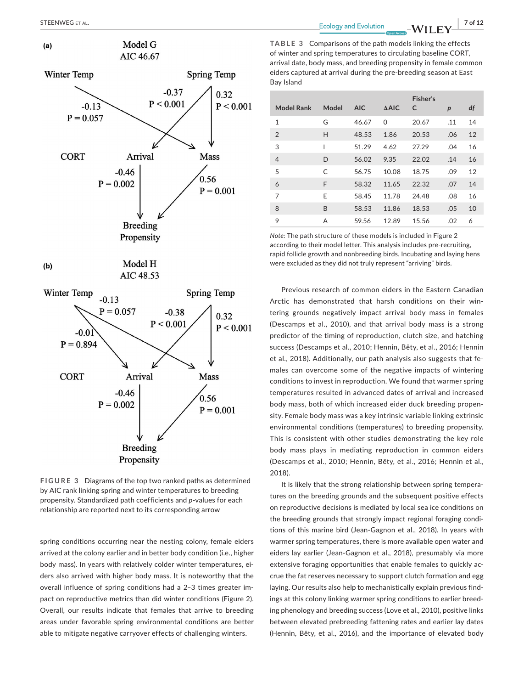Winter Temp

**CORT** 

 $-0.13$  $P = 0.057$ 

 $(a)$ 

 $(b)$ 

Winter Temp

**CORT** 

 $-0.01$  $P = 0.894$  Model G

AIC 46.67

Arrival

**Breeding** Propensity

Model H

AIC 48.53

Arrival

 $-0.46$ 

 $P = 0.002$ 

 $-0.46$ 

 $P = 0.002$ 

 $-0.13$  $P = 0.057$  **Mass** 

 $0.56$ 

**Spring Temp** 

Mass

 $0.56$ 

 $P = 0.001$ 

0.32

 $P < 0.001$ 

 $-0.38$ 

 $P < 0.001$ 

 $P = 0.001$ 

| <b>Model Rank</b> | Model        | <b>AIC</b> | $\triangle$ AIC | <b>Fisher's</b><br>C | $\boldsymbol{p}$ | df |
|-------------------|--------------|------------|-----------------|----------------------|------------------|----|
| $\mathbf{1}$      | G            | 46.67      | 0               | 20.67                | .11              | 14 |
| $\overline{2}$    | Н            | 48.53      | 1.86            | 20.53                | .06              | 12 |
| 3                 |              | 51.29      | 4.62            | 27.29                | .04              | 16 |
| $\overline{4}$    | D            | 56.02      | 9.35            | 22.02                | .14              | 16 |
| 5                 | $\mathsf{C}$ | 56.75      | 10.08           | 18.75                | .09              | 12 |
| 6                 | F            | 58.32      | 11.65           | 22.32                | .07              | 14 |
| 7                 | E            | 58.45      | 11.78           | 24.48                | .08              | 16 |
| 8                 | B            | 58.53      | 11.86           | 18.53                | .05              | 10 |
| 9                 | A            | 59.56      | 12.89           | 15.56                | .02              | 6  |

*Note:* The path structure of these models is included in Figure 2 according to their model letter. This analysis includes pre-recruiting, rapid follicle growth and nonbreeding birds. Incubating and laying hens were excluded as they did not truly represent "arriving" birds.

Previous research of common eiders in the Eastern Canadian Arctic has demonstrated that harsh conditions on their wintering grounds negatively impact arrival body mass in females (Descamps et al., 2010), and that arrival body mass is a strong predictor of the timing of reproduction, clutch size, and hatching success (Descamps et al., 2010; Hennin, Bêty, et al., 2016; Hennin et al., 2018). Additionally, our path analysis also suggests that females can overcome some of the negative impacts of wintering conditions to invest in reproduction. We found that warmer spring temperatures resulted in advanced dates of arrival and increased body mass, both of which increased eider duck breeding propensity. Female body mass was a key intrinsic variable linking extrinsic environmental conditions (temperatures) to breeding propensity. This is consistent with other studies demonstrating the key role body mass plays in mediating reproduction in common eiders (Descamps et al., 2010; Hennin, Bêty, et al., 2016; Hennin et al., 2018).

It is likely that the strong relationship between spring temperatures on the breeding grounds and the subsequent positive effects on reproductive decisions is mediated by local sea ice conditions on the breeding grounds that strongly impact regional foraging conditions of this marine bird (Jean-Gagnon et al., 2018). In years with warmer spring temperatures, there is more available open water and eiders lay earlier (Jean-Gagnon et al., 2018), presumably via more extensive foraging opportunities that enable females to quickly accrue the fat reserves necessary to support clutch formation and egg laying. Our results also help to mechanistically explain previous findings at this colony linking warmer spring conditions to earlier breeding phenology and breeding success (Love et al., 2010), positive links between elevated prebreeding fattening rates and earlier lay dates (Hennin, Bêty, et al., 2016), and the importance of elevated body



spring conditions occurring near the nesting colony, female eiders arrived at the colony earlier and in better body condition (i.e., higher body mass). In years with relatively colder winter temperatures, eiders also arrived with higher body mass. It is noteworthy that the overall influence of spring conditions had a 2–3 times greater impact on reproductive metrics than did winter conditions (Figure 2). Overall, our results indicate that females that arrive to breeding areas under favorable spring environmental conditions are better able to mitigate negative carryover effects of challenging winters.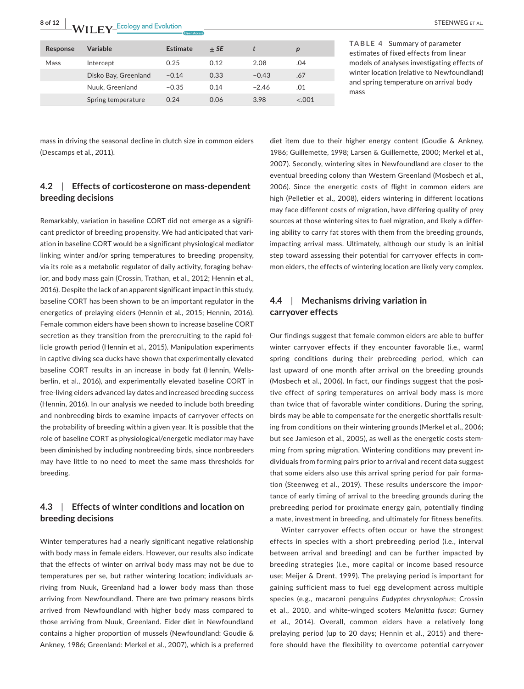**8 of 12 <sup>|</sup>**  STEENWEG et al.

| Response | Variable             | Estimate | $+SE$ |         | р       |
|----------|----------------------|----------|-------|---------|---------|
| Mass     | Intercept            | 0.25     | 0.12  | 2.08    | .04     |
|          | Disko Bay, Greenland | $-0.14$  | 0.33  | $-0.43$ | .67     |
|          | Nuuk, Greenland      | $-0.35$  | 0.14  | $-2.46$ | .01     |
|          | Spring temperature   | 0.24     | 0.06  | 3.98    | $-.001$ |

**TABLE 4** Summary of parameter estimates of fixed effects from linear models of analyses investigating effects of winter location (relative to Newfoundland) and spring temperature on arrival body mass

mass in driving the seasonal decline in clutch size in common eiders (Descamps et al., 2011).

# **4.2**  | **Effects of corticosterone on mass-dependent breeding decisions**

Remarkably, variation in baseline CORT did not emerge as a significant predictor of breeding propensity. We had anticipated that variation in baseline CORT would be a significant physiological mediator linking winter and/or spring temperatures to breeding propensity, via its role as a metabolic regulator of daily activity, foraging behavior, and body mass gain (Crossin, Trathan, et al., 2012; Hennin et al., 2016). Despite the lack of an apparent significant impact in this study, baseline CORT has been shown to be an important regulator in the energetics of prelaying eiders (Hennin et al., 2015; Hennin, 2016). Female common eiders have been shown to increase baseline CORT secretion as they transition from the prerecruiting to the rapid follicle growth period (Hennin et al., 2015). Manipulation experiments in captive diving sea ducks have shown that experimentally elevated baseline CORT results in an increase in body fat (Hennin, Wellsberlin, et al., 2016), and experimentally elevated baseline CORT in free-living eiders advanced lay dates and increased breeding success (Hennin, 2016). In our analysis we needed to include both breeding and nonbreeding birds to examine impacts of carryover effects on the probability of breeding within a given year. It is possible that the role of baseline CORT as physiological/energetic mediator may have been diminished by including nonbreeding birds, since nonbreeders may have little to no need to meet the same mass thresholds for breeding.

# **4.3**  | **Effects of winter conditions and location on breeding decisions**

Winter temperatures had a nearly significant negative relationship with body mass in female eiders. However, our results also indicate that the effects of winter on arrival body mass may not be due to temperatures per se, but rather wintering location; individuals arriving from Nuuk, Greenland had a lower body mass than those arriving from Newfoundland. There are two primary reasons birds arrived from Newfoundland with higher body mass compared to those arriving from Nuuk, Greenland. Eider diet in Newfoundland contains a higher proportion of mussels (Newfoundland: Goudie & Ankney, 1986; Greenland: Merkel et al., 2007), which is a preferred diet item due to their higher energy content (Goudie & Ankney, 1986; Guillemette, 1998; Larsen & Guillemette, 2000; Merkel et al., 2007). Secondly, wintering sites in Newfoundland are closer to the eventual breeding colony than Western Greenland (Mosbech et al., 2006). Since the energetic costs of flight in common eiders are high (Pelletier et al., 2008), eiders wintering in different locations may face different costs of migration, have differing quality of prey sources at those wintering sites to fuel migration, and likely a differing ability to carry fat stores with them from the breeding grounds, impacting arrival mass. Ultimately, although our study is an initial step toward assessing their potential for carryover effects in common eiders, the effects of wintering location are likely very complex.

# **4.4**  | **Mechanisms driving variation in carryover effects**

Our findings suggest that female common eiders are able to buffer winter carryover effects if they encounter favorable (i.e., warm) spring conditions during their prebreeding period, which can last upward of one month after arrival on the breeding grounds (Mosbech et al., 2006). In fact, our findings suggest that the positive effect of spring temperatures on arrival body mass is more than twice that of favorable winter conditions. During the spring, birds may be able to compensate for the energetic shortfalls resulting from conditions on their wintering grounds (Merkel et al., 2006; but see Jamieson et al., 2005), as well as the energetic costs stemming from spring migration. Wintering conditions may prevent individuals from forming pairs prior to arrival and recent data suggest that some eiders also use this arrival spring period for pair formation (Steenweg et al., 2019). These results underscore the importance of early timing of arrival to the breeding grounds during the prebreeding period for proximate energy gain, potentially finding a mate, investment in breeding, and ultimately for fitness benefits.

Winter carryover effects often occur or have the strongest effects in species with a short prebreeding period (i.e., interval between arrival and breeding) and can be further impacted by breeding strategies (i.e., more capital or income based resource use; Meijer & Drent, 1999). The prelaying period is important for gaining sufficient mass to fuel egg development across multiple species (e.g., macaroni penguins *Eudyptes chrysolophus*; Crossin et al., 2010, and white-winged scoters *Melanitta fusca*; Gurney et al., 2014). Overall, common eiders have a relatively long prelaying period (up to 20 days; Hennin et al., 2015) and therefore should have the flexibility to overcome potential carryover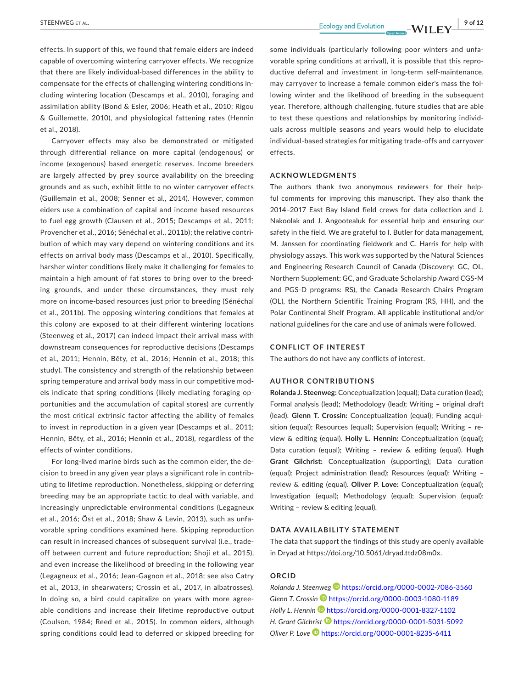effects. In support of this, we found that female eiders are indeed capable of overcoming wintering carryover effects. We recognize that there are likely individual-based differences in the ability to compensate for the effects of challenging wintering conditions including wintering location (Descamps et al., 2010), foraging and assimilation ability (Bond & Esler, 2006; Heath et al., 2010; Rigou & Guillemette, 2010), and physiological fattening rates (Hennin et al., 2018).

Carryover effects may also be demonstrated or mitigated through differential reliance on more capital (endogenous) or income (exogenous) based energetic reserves. Income breeders are largely affected by prey source availability on the breeding grounds and as such, exhibit little to no winter carryover effects (Guillemain et al., 2008; Senner et al., 2014). However, common eiders use a combination of capital and income based resources to fuel egg growth (Clausen et al., 2015; Descamps et al., 2011; Provencher et al., 2016; Sénéchal et al., 2011b); the relative contribution of which may vary depend on wintering conditions and its effects on arrival body mass (Descamps et al., 2010). Specifically, harsher winter conditions likely make it challenging for females to maintain a high amount of fat stores to bring over to the breeding grounds, and under these circumstances, they must rely more on income-based resources just prior to breeding (Sénéchal et al., 2011b). The opposing wintering conditions that females at this colony are exposed to at their different wintering locations (Steenweg et al., 2017) can indeed impact their arrival mass with downstream consequences for reproductive decisions (Descamps et al., 2011; Hennin, Bêty, et al., 2016; Hennin et al., 2018; this study). The consistency and strength of the relationship between spring temperature and arrival body mass in our competitive models indicate that spring conditions (likely mediating foraging opportunities and the accumulation of capital stores) are currently the most critical extrinsic factor affecting the ability of females to invest in reproduction in a given year (Descamps et al., 2011; Hennin, Bêty, et al., 2016; Hennin et al., 2018), regardless of the effects of winter conditions.

For long-lived marine birds such as the common eider, the decision to breed in any given year plays a significant role in contributing to lifetime reproduction. Nonetheless, skipping or deferring breeding may be an appropriate tactic to deal with variable, and increasingly unpredictable environmental conditions (Legagneux et al., 2016; Öst et al., 2018; Shaw & Levin, 2013), such as unfavorable spring conditions examined here. Skipping reproduction can result in increased chances of subsequent survival (i.e., tradeoff between current and future reproduction; Shoji et al., 2015), and even increase the likelihood of breeding in the following year (Legagneux et al., 2016; Jean-Gagnon et al., 2018; see also Catry et al., 2013, in shearwaters; Crossin et al., 2017, in albatrosses). In doing so, a bird could capitalize on years with more agreeable conditions and increase their lifetime reproductive output (Coulson, 1984; Reed et al., 2015). In common eiders, although spring conditions could lead to deferred or skipped breeding for

some individuals (particularly following poor winters and unfavorable spring conditions at arrival), it is possible that this reproductive deferral and investment in long-term self-maintenance, may carryover to increase a female common eider's mass the following winter and the likelihood of breeding in the subsequent year. Therefore, although challenging, future studies that are able to test these questions and relationships by monitoring individuals across multiple seasons and years would help to elucidate individual-based strategies for mitigating trade-offs and carryover effects.

#### **ACKNOWLEDGMENTS**

The authors thank two anonymous reviewers for their helpful comments for improving this manuscript. They also thank the 2014–2017 East Bay Island field crews for data collection and J. Nakoolak and J. Angootealuk for essential help and ensuring our safety in the field. We are grateful to I. Butler for data management, M. Janssen for coordinating fieldwork and C. Harris for help with physiology assays. This work was supported by the Natural Sciences and Engineering Research Council of Canada (Discovery: GC, OL, Northern Supplement: GC, and Graduate Scholarship Award CGS-M and PGS-D programs: RS), the Canada Research Chairs Program (OL), the Northern Scientific Training Program (RS, HH), and the Polar Continental Shelf Program. All applicable institutional and/or national guidelines for the care and use of animals were followed.

#### **CONFLICT OF INTEREST**

The authors do not have any conflicts of interest.

#### **AUTHOR CONTRIBUTIONS**

**Rolanda J. Steenweg:** Conceptualization (equal); Data curation (lead); Formal analysis (lead); Methodology (lead); Writing – original draft (lead). **Glenn T. Crossin:** Conceptualization (equal); Funding acquisition (equal); Resources (equal); Supervision (equal); Writing – review & editing (equal). **Holly L. Hennin:** Conceptualization (equal); Data curation (equal); Writing – review & editing (equal). **Hugh Grant Gilchrist:** Conceptualization (supporting); Data curation (equal); Project administration (lead); Resources (equal); Writing – review & editing (equal). **Oliver P. Love:** Conceptualization (equal); Investigation (equal); Methodology (equal); Supervision (equal); Writing – review & editing (equal).

#### **DATA AVAILABILITY STATEMENT**

The data that support the findings of this study are openly available in Dryad at <https://doi.org/10.5061/dryad.ttdz08m0x>.

#### **ORCID**

*Rolanda J. Steenwe[g](https://orcid.org/0000-0002-7086-3560)* <https://orcid.org/0000-0002-7086-3560> *Glenn T. Crossi[n](https://orcid.org/0000-0003-1080-1189)* <https://orcid.org/0000-0003-1080-1189> *Holly L. Hennin* **b** <https://orcid.org/0000-0001-8327-1102> *H. Grant Gilchrist* <https://orcid.org/0000-0001-5031-5092> *Oliver P. Love* <https://orcid.org/0000-0001-8235-6411>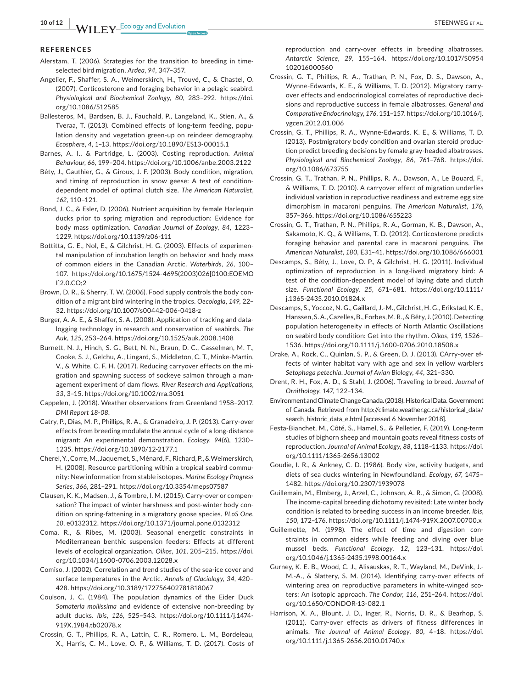#### **REFERENCES**

- Alerstam, T. (2006). Strategies for the transition to breeding in timeselected bird migration. *Ardea*, *94*, 347–357.
- Angelier, F., Shaffer, S. A., Weimerskirch, H., Trouvé, C., & Chastel, O. (2007). Corticosterone and foraging behavior in a pelagic seabird. *Physiological and Biochemical Zoology*, *80*, 283–292. [https://doi.](https://doi.org/10.1086/512585) [org/10.1086/512585](https://doi.org/10.1086/512585)
- Ballesteros, M., Bardsen, B. J., Fauchald, P., Langeland, K., Stien, A., & Tveraa, T. (2013). Combined effects of long-term feeding, population density and vegetation green-up on reindeer demography. *Ecosphere*, *4*, 1–13. <https://doi.org/10.1890/ES13-00015.1>
- Barnes, A. I., & Partridge, L. (2003). Costing reproduction. *Animal Behaviour*, *66*, 199–204. <https://doi.org/10.1006/anbe.2003.2122>
- Bêty, J., Gauthier, G., & Giroux, J. F. (2003). Body condition, migration, and timing of reproduction in snow geese: A test of conditiondependent model of optimal clutch size. *The American Naturalist*, *162*, 110–121.
- Bond, J. C., & Esler, D. (2006). Nutrient acquisition by female Harlequin ducks prior to spring migration and reproduction: Evidence for body mass optimization. *Canadian Journal of Zoology*, *84*, 1223– 1229. <https://doi.org/10.1139/z06-111>
- Bottitta, G. E., Nol, E., & Gilchrist, H. G. (2003). Effects of experimental manipulation of incubation length on behavior and body mass of common eiders in the Canadian Arctic. *Waterbirds*, *26*, 100– 107. [https://doi.org/10.1675/1524-4695\(2003\)026\[0100:EOEMO](https://doi.org/10.1675/1524-4695(2003)026%5B0100:EOEMOI%5D2.0.CO;2) [I\]2.0.CO;2](https://doi.org/10.1675/1524-4695(2003)026%5B0100:EOEMOI%5D2.0.CO;2)
- Brown, D. R., & Sherry, T. W. (2006). Food supply controls the body condition of a migrant bird wintering in the tropics. *Oecologia*, *149*, 22– 32. <https://doi.org/10.1007/s00442-006-0418-z>
- Burger, A. A. E., & Shaffer, S. A. (2008). Application of tracking and datalogging technology in research and conservation of seabirds. *The Auk*, *125*, 253–264. <https://doi.org/10.1525/auk.2008.1408>
- Burnett, N. J., Hinch, S. G., Bett, N. N., Braun, D. C., Casselman, M. T., Cooke, S. J., Gelchu, A., Lingard, S., Middleton, C. T., Minke-Martin, V., & White, C. F. H. (2017). Reducing carryover effects on the migration and spawning success of sockeye salmon through a management experiment of dam flows. *River Research and Applications*, *33*, 3–15. <https://doi.org/10.1002/rra.3051>
- Cappelen, J. (2018). Weather observations from Greenland 1958–2017. *DMI Report 18-08*.
- Catry, P., Dias, M. P., Phillips, R. A., & Granadeiro, J. P. (2013). Carry-over effects from breeding modulate the annual cycle of a long-distance migrant: An experimental demonstration. *Ecology*, *94*(6), 1230– 1235. <https://doi.org/10.1890/12-2177.1>
- Cherel,Y.,Corre,M., Jaquemet, S.,Ménard,F.,Richard,P.,&Weimerskirch, H. (2008). Resource partitioning within a tropical seabird community: New information from stable isotopes. *Marine Ecology Progress Series*, *366*, 281–291. <https://doi.org/10.3354/meps07587>
- Clausen, K. K., Madsen, J., & Tombre, I. M. (2015). Carry-over or compensation? The impact of winter harshness and post-winter body condition on spring-fattening in a migratory goose species. *PLoS One*, *10*, e0132312. <https://doi.org/10.1371/journal.pone.0132312>
- Coma, R., & Ribes, M. (2003). Seasonal energetic constraints in Mediterranean benthic suspension feeders: Effects at different levels of ecological organization. *Oikos*, *101*, 205–215. [https://doi.](https://doi.org/10.1034/j.1600-0706.2003.12028.x) [org/10.1034/j.1600-0706.2003.12028.x](https://doi.org/10.1034/j.1600-0706.2003.12028.x)
- Comiso, J. (2002). Correlation and trend studies of the sea-ice cover and surface temperatures in the Arctic. *Annals of Glaciology*, *34*, 420– 428. <https://doi.org/10.3189/172756402781818067>
- Coulson, J. C. (1984). The population dynamics of the Eider Duck *Somateria mollissima* and evidence of extensive non-breeding by adult ducks. *Ibis*, *126*, 525–543. [https://doi.org/10.1111/j.1474-](https://doi.org/10.1111/j.1474-919X.1984.tb02078.x) [919X.1984.tb02078.x](https://doi.org/10.1111/j.1474-919X.1984.tb02078.x)
- Crossin, G. T., Phillips, R. A., Lattin, C. R., Romero, L. M., Bordeleau, X., Harris, C. M., Love, O. P., & Williams, T. D. (2017). Costs of

reproduction and carry-over effects in breeding albatrosses. *Antarctic Science*, *29*, 155–164. [https://doi.org/10.1017/S0954](https://doi.org/10.1017/S0954102016000560) [102016000560](https://doi.org/10.1017/S0954102016000560)

- Crossin, G. T., Phillips, R. A., Trathan, P. N., Fox, D. S., Dawson, A., Wynne-Edwards, K. E., & Williams, T. D. (2012). Migratory carryover effects and endocrinological correlates of reproductive decisions and reproductive success in female albatrosses. *General and Comparative Endocrinology*, *176*, 151–157. [https://doi.org/10.1016/j.](https://doi.org/10.1016/j.ygcen.2012.01.006) [ygcen.2012.01.006](https://doi.org/10.1016/j.ygcen.2012.01.006)
- Crossin, G. T., Phillips, R. A., Wynne-Edwards, K. E., & Williams, T. D. (2013). Postmigratory body condition and ovarian steroid production predict breeding decisions by female gray-headed albatrosses. *Physiological and Biochemical Zoology*, *86*, 761–768. [https://doi.](https://doi.org/10.1086/673755) [org/10.1086/673755](https://doi.org/10.1086/673755)
- Crossin, G. T., Trathan, P. N., Phillips, R. A., Dawson, A., Le Bouard, F., & Williams, T. D. (2010). A carryover effect of migration underlies individual variation in reproductive readiness and extreme egg size dimorphism in macaroni penguins. *The American Naturalist*, *176*, 357–366. <https://doi.org/10.1086/655223>
- Crossin, G. T., Trathan, P. N., Phillips, R. A., Gorman, K. B., Dawson, A., Sakamoto, K. Q., & Williams, T. D. (2012). Corticosterone predicts foraging behavior and parental care in macaroni penguins. *The American Naturalist*, *180*, E31–41. <https://doi.org/10.1086/666001>
- Descamps, S., Bêty, J., Love, O. P., & Gilchrist, H. G. (2011). Individual optimization of reproduction in a long-lived migratory bird: A test of the condition-dependent model of laying date and clutch size. *Functional Ecology*, *25*, 671–681. [https://doi.org/10.1111/](https://doi.org/10.1111/j.1365-2435.2010.01824.x) [j.1365-2435.2010.01824.x](https://doi.org/10.1111/j.1365-2435.2010.01824.x)
- Descamps, S., Yoccoz, N. G., Gaillard, J.-M., Gilchrist, H. G., Erikstad, K. E., Hanssen, S.A., Cazelles, B., Forbes, M.R., & Bêty, J. (2010). Detecting population heterogeneity in effects of North Atlantic Oscillations on seabird body condition: Get into the rhythm. *Oikos*, *119*, 1526– 1536. <https://doi.org/10.1111/j.1600-0706.2010.18508.x>
- Drake, A., Rock, C., Quinlan, S. P., & Green, D. J. (2013). CArry-over effects of winter habitat vary with age and sex in yellow warblers *Setophaga petechia*. *Journal of Avian Biology*, *44*, 321–330.
- Drent, R. H., Fox, A. D., & Stahl, J. (2006). Traveling to breed. *Journal of Ornithology*, *147*, 122–134.
- EnvironmentandClimateChangeCanada.(2018).HistoricalData.Government of Canada. Retrieved from [http://climate.weather.gc.ca/historical\\_data/](http://climate.weather.gc.ca/historical_data/search_historic_data_e.html) [search\\_historic\\_data\\_e.html](http://climate.weather.gc.ca/historical_data/search_historic_data_e.html) [accessed 6 November 2018].
- Festa-Bianchet, M., Côté, S., Hamel, S., & Pelletier, F. (2019). Long-term studies of bighorn sheep and mountain goats reveal fitness costs of reproduction. *Journal of Animal Ecology*, *88*, 1118–1133. [https://doi.](https://doi.org/10.1111/1365-2656.13002) [org/10.1111/1365-2656.13002](https://doi.org/10.1111/1365-2656.13002)
- Goudie, I. R., & Ankney, C. D. (1986). Body size, activity budgets, and diets of sea ducks wintering in Newfoundland. *Ecology*, *67*, 1475– 1482. <https://doi.org/10.2307/1939078>
- Guillemain, M., Elmberg, J., Arzel, C., Johnson, A. R., & Simon, G. (2008). The income-capital breeding dichotomy revisited: Late winter body condition is related to breeding success in an income breeder. *Ibis*, *150*, 172–176. <https://doi.org/10.1111/j.1474-919X.2007.00700.x>
- Guillemette, M. (1998). The effect of time and digestion constraints in common eiders while feeding and diving over blue mussel beds. *Functional Ecology*, *12*, 123–131. [https://doi.](https://doi.org/10.1046/j.1365-2435.1998.00164.x) [org/10.1046/j.1365-2435.1998.00164.x](https://doi.org/10.1046/j.1365-2435.1998.00164.x)
- Gurney, K. E. B., Wood, C. J., Alisauskas, R. T., Wayland, M., DeVink, J.- M.-A., & Slattery, S. M. (2014). Identifying carry-over effects of wintering area on reproductive parameters in white-winged scoters: An isotopic approach. *The Condor*, *116*, 251–264. [https://doi.](https://doi.org/10.1650/CONDOR-13-082.1) [org/10.1650/CONDOR-13-082.1](https://doi.org/10.1650/CONDOR-13-082.1)
- Harrison, X. A., Blount, J. D., Inger, R., Norris, D. R., & Bearhop, S. (2011). Carry-over effects as drivers of fitness differences in animals. *The Journal of Animal Ecology*, *80*, 4–18. [https://doi.](https://doi.org/10.1111/j.1365-2656.2010.01740.x) [org/10.1111/j.1365-2656.2010.01740.x](https://doi.org/10.1111/j.1365-2656.2010.01740.x)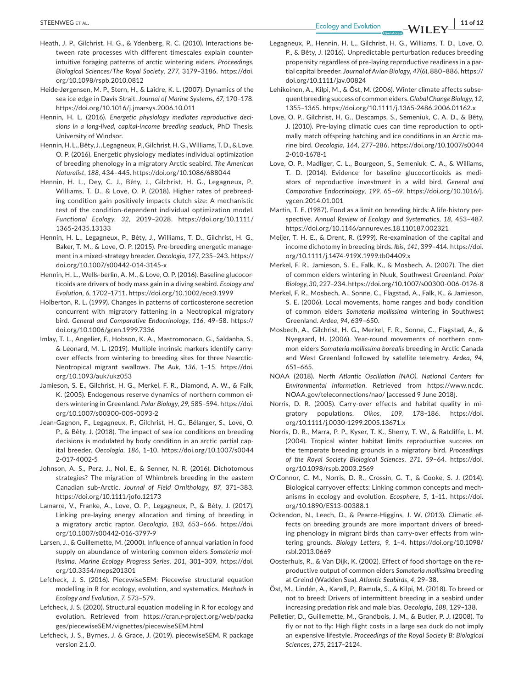- Heath, J. P., Gilchrist, H. G., & Ydenberg, R. C. (2010). Interactions between rate processes with different timescales explain counterintuitive foraging patterns of arctic wintering eiders. *Proceedings. Biological Sciences/The Royal Society*, *277*, 3179–3186. [https://doi.](https://doi.org/10.1098/rspb.2010.0812) [org/10.1098/rspb.2010.0812](https://doi.org/10.1098/rspb.2010.0812)
- Heide-Jørgensen, M. P., Stern, H., & Laidre, K. L. (2007). Dynamics of the sea ice edge in Davis Strait. *Journal of Marine Systems*, *67*, 170–178. <https://doi.org/10.1016/j.jmarsys.2006.10.011>
- Hennin, H. L. (2016). *Energetic physiology mediates reproductive decisions in a long-lived, capital-income breeding seaduck*, PhD Thesis. University of Windsor.
- Hennin,H. L.,Bêty, J., Legagneux,P.,Gilchrist,H.G.,Williams,T.D.,&Love, O. P. (2016). Energetic physiology mediates individual optimization of breeding phenology in a migratory Arctic seabird. *The American Naturalist*, *188*, 434–445. <https://doi.org/10.1086/688044>
- Hennin, H. L., Dey, C. J., Bêty, J., Gilchrist, H. G., Legagneux, P., Williams, T. D., & Love, O. P. (2018). Higher rates of prebreeding condition gain positively impacts clutch size: A mechanistic test of the condition-dependent individual optimization model. *Functional Ecology*, *32*, 2019–2028. [https://doi.org/10.1111/](https://doi.org/10.1111/1365-2435.13133) [1365-2435.13133](https://doi.org/10.1111/1365-2435.13133)
- Hennin, H. L., Legagneux, P., Bêty, J., Williams, T. D., Gilchrist, H. G., Baker, T. M., & Love, O. P. (2015). Pre-breeding energetic management in a mixed-strategy breeder. *Oecologia*, *177*, 235–243. [https://](https://doi.org/10.1007/s00442-014-3145-x) [doi.org/10.1007/s00442-014-3145-x](https://doi.org/10.1007/s00442-014-3145-x)
- Hennin, H. L., Wells-berlin, A. M., & Love, O. P. (2016). Baseline glucocorticoids are drivers of body mass gain in a diving seabird. *Ecology and Evolution*, *6*, 1702–1711. <https://doi.org/10.1002/ece3.1999>
- Holberton, R. L. (1999). Changes in patterns of corticosterone secretion concurrent with migratory fattening in a Neotropical migratory bird. *General and Comparative Endocrinology*, *116*, 49–58. [https://](https://doi.org/10.1006/gcen.1999.7336) [doi.org/10.1006/gcen.1999.7336](https://doi.org/10.1006/gcen.1999.7336)
- Imlay, T. L., Angelier, F., Hobson, K. A., Mastromonaco, G., Saldanha, S., & Leonard, M. L. (2019). Multiple intrinsic markers identify carryover effects from wintering to breeding sites for three Nearctic-Neotropical migrant swallows. *The Auk*, *136*, 1–15. [https://doi.](https://doi.org/10.1093/auk/ukz053) [org/10.1093/auk/ukz053](https://doi.org/10.1093/auk/ukz053)
- Jamieson, S. E., Gilchrist, H. G., Merkel, F. R., Diamond, A. W., & Falk, K. (2005). Endogenous reserve dynamics of northern common eiders wintering in Greenland. *Polar Biology*, *29*, 585–594. [https://doi.](https://doi.org/10.1007/s00300-005-0093-2) [org/10.1007/s00300-005-0093-2](https://doi.org/10.1007/s00300-005-0093-2)
- Jean-Gagnon, F., Legagneux, P., Gilchrist, H. G., Bélanger, S., Love, O. P., & Bêty, J. (2018). The impact of sea ice conditions on breeding decisions is modulated by body condition in an arctic partial capital breeder. *Oecologia*, *186*, 1–10. [https://doi.org/10.1007/s0044](https://doi.org/10.1007/s00442-017-4002-5) [2-017-4002-5](https://doi.org/10.1007/s00442-017-4002-5)
- Johnson, A. S., Perz, J., Nol, E., & Senner, N. R. (2016). Dichotomous strategies? The migration of Whimbrels breeding in the eastern Canadian sub-Arctic. *Journal of Field Ornithology*, *87*, 371–383. <https://doi.org/10.1111/jofo.12173>
- Lamarre, V., Franke, A., Love, O. P., Legagneux, P., & Bêty, J. (2017). Linking pre-laying energy allocation and timing of breeding in a migratory arctic raptor. *Oecologia*, *183*, 653–666. [https://doi.](https://doi.org/10.1007/s00442-016-3797-9) [org/10.1007/s00442-016-3797-9](https://doi.org/10.1007/s00442-016-3797-9)
- Larsen, J., & Guillemette, M. (2000). Influence of annual variation in food supply on abundance of wintering common eiders *Somateria mollissima*. *Marine Ecology Progress Series*, *201*, 301–309. [https://doi.](https://doi.org/10.3354/meps201301) [org/10.3354/meps201301](https://doi.org/10.3354/meps201301)
- Lefcheck, J. S. (2016). PiecewiseSEM: Piecewise structural equation modelling in R for ecology, evolution, and systematics. *Methods in Ecology and Evolution*, *7*, 573–579.
- Lefcheck, J. S. (2020). Structural equation modeling in R for ecology and evolution. Retrieved from [https://cran.r-project.org/web/packa](https://cran.r-project.org/web/packages/piecewiseSEM/vignettes/piecewiseSEM.html) [ges/piecewiseSEM/vignettes/piecewiseSEM.html](https://cran.r-project.org/web/packages/piecewiseSEM/vignettes/piecewiseSEM.html)
- Lefcheck, J. S., Byrnes, J. & Grace, J. (2019). piecewiseSEM. R package version 2.1.0.
- Legagneux, P., Hennin, H. L., Gilchrist, H. G., Williams, T. D., Love, O. P., & Bêty, J. (2016). Unpredictable perturbation reduces breeding propensity regardless of pre-laying reproductive readiness in a partial capital breeder. *Journal of Avian Biology*, *47*(6), 880–886. [https://](https://doi.org/10.1111/jav.00824) [doi.org/10.1111/jav.00824](https://doi.org/10.1111/jav.00824)
- Lehikoinen, A., Kilpi, M., & Öst, M. (2006). Winter climate affects subsequent breeding success of common eiders.*Global Change Biology*, *12*, 1355–1365. <https://doi.org/10.1111/j.1365-2486.2006.01162.x>
- Love, O. P., Gilchrist, H. G., Descamps, S., Semeniuk, C. A. D., & Bêty, J. (2010). Pre-laying climatic cues can time reproduction to optimally match offspring hatching and ice conditions in an Arctic marine bird. *Oecologia*, *164*, 277–286. [https://doi.org/10.1007/s0044](https://doi.org/10.1007/s00442-010-1678-1) [2-010-1678-1](https://doi.org/10.1007/s00442-010-1678-1)
- Love, O. P., Madliger, C. L., Bourgeon, S., Semeniuk, C. A., & Williams, T. D. (2014). Evidence for baseline glucocorticoids as mediators of reproductive investment in a wild bird. *General and Comparative Endocrinology*, *199*, 65–69. [https://doi.org/10.1016/j.](https://doi.org/10.1016/j.ygcen.2014.01.001) [ygcen.2014.01.001](https://doi.org/10.1016/j.ygcen.2014.01.001)
- Martin, T. E. (1987). Food as a limit on breeding birds: A life-history perspective. *Annual Review of Ecology and Systematics*, *18*, 453–487. <https://doi.org/10.1146/annurev.es.18.110187.002321>
- Meijer, T. H. E., & Drent, R. (1999). Re-examination of the capital and income dichotomy in breeding birds. *Ibis*, *141*, 399–414. [https://doi.](https://doi.org/10.1111/j.1474-919X.1999.tb04409.x) [org/10.1111/j.1474-919X.1999.tb04409.x](https://doi.org/10.1111/j.1474-919X.1999.tb04409.x)
- Merkel, F. R., Jamieson, S. E., Falk, K., & Mosbech, A. (2007). The diet of common eiders wintering in Nuuk, Southwest Greenland. *Polar Biology*, *30*, 227–234. <https://doi.org/10.1007/s00300-006-0176-8>
- Merkel, F. R., Mosbech, A., Sonne, C., Flagstad, A., Falk, K., & Jamieson, S. E. (2006). Local movements, home ranges and body condition of common eiders *Somateria mollissima* wintering in Southwest Greenland. *Ardea*, *94*, 639–650.
- Mosbech, A., Gilchrist, H. G., Merkel, F. R., Sonne, C., Flagstad, A., & Nyegaard, H. (2006). Year-round movements of northern common eiders *Somateria mollissima borealis* breeding in Arctic Canada and West Greenland followed by satellite telemetry. *Ardea*, *94*, 651–665.
- NOAA (2018). *North Atlantic Oscillation (NAO). National Centers for Environmental Information*. Retrieved from [https://www.ncdc.](https://www.ncdc.NOAA.gov/teleconnections/nao/) [NOAA.gov/teleconnections/nao/](https://www.ncdc.NOAA.gov/teleconnections/nao/) [accessed 9 June 2018].
- Norris, D. R. (2005). Carry-over effects and habitat quality in migratory populations. *Oikos*, *109*, 178–186. [https://doi.](https://doi.org/10.1111/j.0030-1299.2005.13671.x) [org/10.1111/j.0030-1299.2005.13671.x](https://doi.org/10.1111/j.0030-1299.2005.13671.x)
- Norris, D. R., Marra, P. P., Kyser, T. K., Sherry, T. W., & Ratcliffe, L. M. (2004). Tropical winter habitat limits reproductive success on the temperate breeding grounds in a migratory bird. *Proceedings of the Royal Society Biological Sciences*, *271*, 59–64. [https://doi.](https://doi.org/10.1098/rspb.2003.2569) [org/10.1098/rspb.2003.2569](https://doi.org/10.1098/rspb.2003.2569)
- O'Connor, C. M., Norris, D. R., Crossin, G. T., & Cooke, S. J. (2014). Biological carryover effects: Linking common concepts and mechanisms in ecology and evolution. *Ecosphere*, *5*, 1–11. [https://doi.](https://doi.org/10.1890/ES13-00388.1) [org/10.1890/ES13-00388.1](https://doi.org/10.1890/ES13-00388.1)
- Ockendon, N., Leech, D., & Pearce-Higgins, J. W. (2013). Climatic effects on breeding grounds are more important drivers of breeding phenology in migrant birds than carry-over effects from wintering grounds. *Biology Letters*, *9*, 1–4. [https://doi.org/10.1098/](https://doi.org/10.1098/rsbl.2013.0669) [rsbl.2013.0669](https://doi.org/10.1098/rsbl.2013.0669)
- Oosterhuis, R., & Van Dijk, K. (2002). Effect of food shortage on the reproductive output of common eiders *Somateria mollissima* breeding at Greind (Wadden Sea). *Atlantic Seabirds*, *4*, 29–38.
- Öst, M., Lindén, A., Karell, P., Ramula, S., & Kilpi, M. (2018). To breed or not to breed: Drivers of intermittent breeding in a seabird under increasing predation risk and male bias. *Oecologia*, *188*, 129–138.
- Pelletier, D., Guillemette, M., Grandbois, J. M., & Butler, P. J. (2008). To fly or not to fly: High flight costs in a large sea duck do not imply an expensive lifestyle. *Proceedings of the Royal Society B: Biological Sciences*, *275*, 2117–2124.